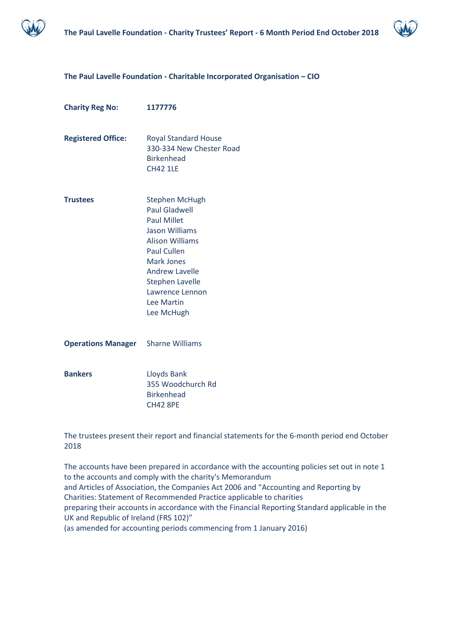



# **The Paul Lavelle Foundation - Charitable Incorporated Organisation – CIO**

| <b>Charity Reg No:</b>                    | 1177776                                                                                                                                                                                                                                                      |
|-------------------------------------------|--------------------------------------------------------------------------------------------------------------------------------------------------------------------------------------------------------------------------------------------------------------|
| <b>Registered Office:</b>                 | <b>Royal Standard House</b><br>330-334 New Chester Road<br><b>Birkenhead</b><br><b>CH42 1LE</b>                                                                                                                                                              |
| <b>Trustees</b>                           | <b>Stephen McHugh</b><br><b>Paul Gladwell</b><br><b>Paul Millet</b><br>Jason Williams<br><b>Alison Williams</b><br><b>Paul Cullen</b><br>Mark Jones<br><b>Andrew Lavelle</b><br><b>Stephen Lavelle</b><br>Lawrence Lennon<br><b>Lee Martin</b><br>Lee McHugh |
| <b>Operations Manager</b> Sharne Williams |                                                                                                                                                                                                                                                              |
| <b>Bankers</b>                            | <b>Lloyds Bank</b><br>355 Woodchurch Rd<br><b>Birkenhead</b><br><b>CH42 8PF</b>                                                                                                                                                                              |

The trustees present their report and financial statements for the 6-month period end October 2018

The accounts have been prepared in accordance with the accounting policies set out in note 1 to the accounts and comply with the charity's Memorandum and Articles of Association, the Companies Act 2006 and "Accounting and Reporting by Charities: Statement of Recommended Practice applicable to charities preparing their accounts in accordance with the Financial Reporting Standard applicable in the UK and Republic of Ireland (FRS 102)" (as amended for accounting periods commencing from 1 January 2016)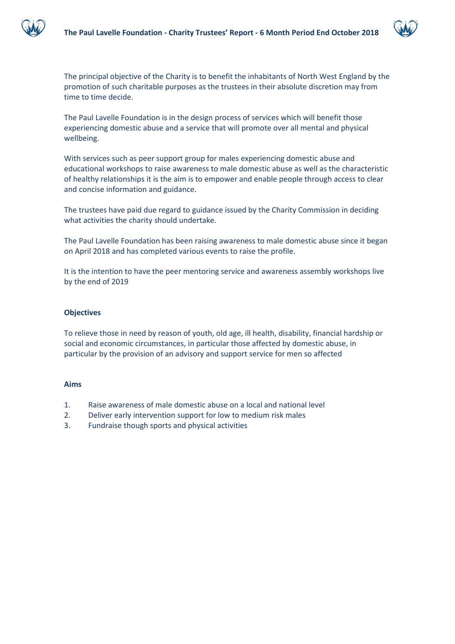



The principal objective of the Charity is to benefit the inhabitants of North West England by the promotion of such charitable purposes as the trustees in their absolute discretion may from time to time decide.

The Paul Lavelle Foundation is in the design process of services which will benefit those experiencing domestic abuse and a service that will promote over all mental and physical wellbeing.

With services such as peer support group for males experiencing domestic abuse and educational workshops to raise awareness to male domestic abuse as well as the characteristic of healthy relationships it is the aim is to empower and enable people through access to clear and concise information and guidance.

The trustees have paid due regard to guidance issued by the Charity Commission in deciding what activities the charity should undertake.

The Paul Lavelle Foundation has been raising awareness to male domestic abuse since it began on April 2018 and has completed various events to raise the profile.

It is the intention to have the peer mentoring service and awareness assembly workshops live by the end of 2019

# **Objectives**

To relieve those in need by reason of youth, old age, ill health, disability, financial hardship or social and economic circumstances, in particular those affected by domestic abuse, in particular by the provision of an advisory and support service for men so affected

#### **Aims**

- 1. Raise awareness of male domestic abuse on a local and national level
- 2. Deliver early intervention support for low to medium risk males
- 3. Fundraise though sports and physical activities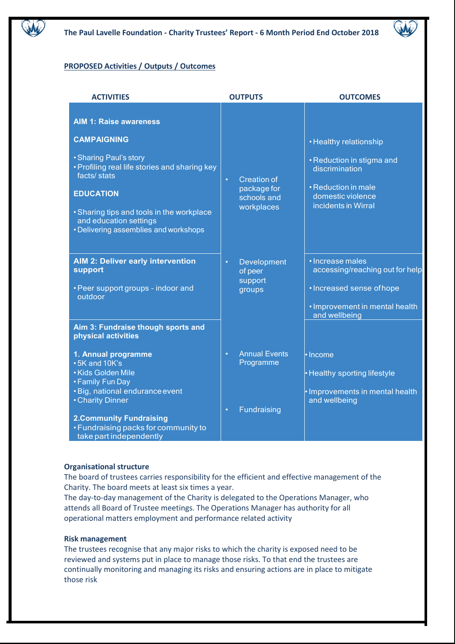



| <b>OUTPUTS</b>                                                              | <b>OUTCOMES</b>                                                                                                                          |
|-----------------------------------------------------------------------------|------------------------------------------------------------------------------------------------------------------------------------------|
| <b>Creation of</b><br>$\bullet$<br>package for<br>schools and<br>workplaces | • Healthy relationship<br>• Reduction in stigma and<br>discrimination<br>• Reduction in male<br>domestic violence<br>incidents in Wirral |
| Development<br>$\bullet$<br>of peer<br>support<br>groups                    | · Increase males<br>accessing/reaching out for help<br>· Increased sense of hope<br>· Improvement in mental health<br>and wellbeing      |
|                                                                             |                                                                                                                                          |
| <b>Annual Events</b><br>$\bullet$<br>Programme<br>Fundraising<br>$\bullet$  | · Income<br>• Healthy sporting lifestyle<br>· Improvements in mental health<br>and wellbeing                                             |
|                                                                             |                                                                                                                                          |

# **Organisational structure**

The board of trustees carries responsibility for the efficient and effective management of the Charity. The board meets at least six times a year.

The day-to-day management of the Charity is delegated to the Operations Manager, who attends all Board of Trustee meetings. The Operations Manager has authority for all operational matters employment and performance related activity

# **Risk management**

The trustees recognise that any major risks to which the charity is exposed need to be reviewed and systems put in place to manage those risks. To that end the trustees are continually monitoring and managing its risks and ensuring actions are in place to mitigate those risk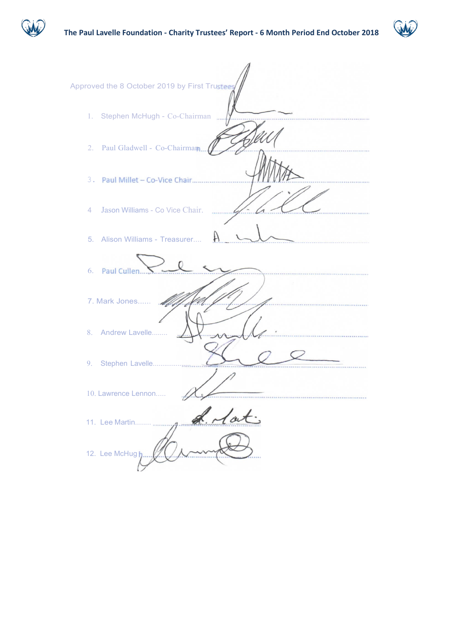



|    | Approved the 8 October 2019 by First Trustees |
|----|-----------------------------------------------|
|    |                                               |
|    | 1. Stephen McHugh - Co-Chairman               |
|    | 2. Paul Gladwell - Co-Chairmam                |
|    | 3. Paul Millet - Co-Vice Chair                |
| 4  | Jason Williams - Co Vice Chair.               |
|    | 5. Alison Williams - Treasurer                |
|    | 6. Paul Cullen                                |
|    | 7. Mark Jones                                 |
|    | 8. Andrew Lavelle                             |
| 9. | Stephen Lavelle                               |
|    | 10. Lawrence Lennon                           |
|    | at.<br>11. Lee Martin                         |
|    | 12. Lee McHugh                                |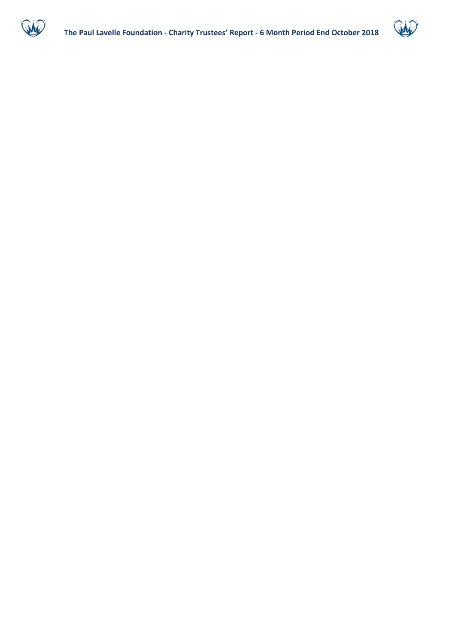

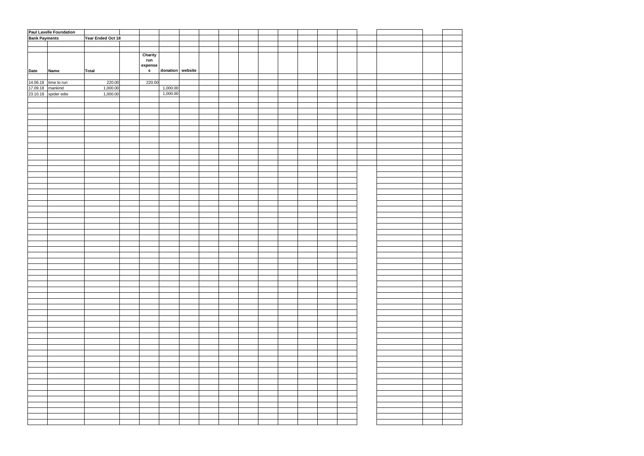|      | <b>Paul Lavelle Foundation</b><br>Bank Payments                  |                   |                     |                  |  |  |  |  |  |  |  |
|------|------------------------------------------------------------------|-------------------|---------------------|------------------|--|--|--|--|--|--|--|
|      |                                                                  | Year Ended Oct 18 |                     |                  |  |  |  |  |  |  |  |
|      |                                                                  |                   |                     |                  |  |  |  |  |  |  |  |
|      |                                                                  |                   |                     |                  |  |  |  |  |  |  |  |
|      |                                                                  |                   | <b>Charity</b>      |                  |  |  |  |  |  |  |  |
|      |                                                                  |                   |                     |                  |  |  |  |  |  |  |  |
|      |                                                                  |                   | run                 |                  |  |  |  |  |  |  |  |
|      |                                                                  |                   | $\frac{expense}{s}$ |                  |  |  |  |  |  |  |  |
| Date | Name                                                             | <b>Total</b>      |                     | donation website |  |  |  |  |  |  |  |
|      |                                                                  |                   |                     |                  |  |  |  |  |  |  |  |
|      |                                                                  | 220.00            | 220.00              |                  |  |  |  |  |  |  |  |
|      |                                                                  |                   |                     |                  |  |  |  |  |  |  |  |
|      |                                                                  | 1,000.00          |                     | 1,000.00         |  |  |  |  |  |  |  |
|      | 14.06.18 time to run<br>17.09.18 mankind<br>23.10.18 spider edie | 1,000.00          |                     | 1,000.00         |  |  |  |  |  |  |  |
|      |                                                                  |                   |                     |                  |  |  |  |  |  |  |  |
|      |                                                                  |                   |                     |                  |  |  |  |  |  |  |  |
|      |                                                                  |                   |                     |                  |  |  |  |  |  |  |  |
|      |                                                                  |                   |                     |                  |  |  |  |  |  |  |  |
|      |                                                                  |                   |                     |                  |  |  |  |  |  |  |  |
|      |                                                                  |                   |                     |                  |  |  |  |  |  |  |  |
|      |                                                                  |                   |                     |                  |  |  |  |  |  |  |  |
|      |                                                                  |                   |                     |                  |  |  |  |  |  |  |  |
|      |                                                                  |                   |                     |                  |  |  |  |  |  |  |  |
|      |                                                                  |                   |                     |                  |  |  |  |  |  |  |  |
|      |                                                                  |                   |                     |                  |  |  |  |  |  |  |  |
|      |                                                                  |                   |                     |                  |  |  |  |  |  |  |  |
|      |                                                                  |                   |                     |                  |  |  |  |  |  |  |  |
|      |                                                                  |                   |                     |                  |  |  |  |  |  |  |  |
|      |                                                                  |                   |                     |                  |  |  |  |  |  |  |  |
|      |                                                                  |                   |                     |                  |  |  |  |  |  |  |  |
|      |                                                                  |                   |                     |                  |  |  |  |  |  |  |  |
|      |                                                                  |                   |                     |                  |  |  |  |  |  |  |  |
|      |                                                                  |                   |                     |                  |  |  |  |  |  |  |  |
|      |                                                                  |                   |                     |                  |  |  |  |  |  |  |  |
|      |                                                                  |                   |                     |                  |  |  |  |  |  |  |  |
|      |                                                                  |                   |                     |                  |  |  |  |  |  |  |  |
|      |                                                                  |                   |                     |                  |  |  |  |  |  |  |  |
|      |                                                                  |                   |                     |                  |  |  |  |  |  |  |  |
|      |                                                                  |                   |                     |                  |  |  |  |  |  |  |  |
|      |                                                                  |                   |                     |                  |  |  |  |  |  |  |  |
|      |                                                                  |                   |                     |                  |  |  |  |  |  |  |  |
|      |                                                                  |                   |                     |                  |  |  |  |  |  |  |  |
|      |                                                                  |                   |                     |                  |  |  |  |  |  |  |  |
|      |                                                                  |                   |                     |                  |  |  |  |  |  |  |  |
|      |                                                                  |                   |                     |                  |  |  |  |  |  |  |  |
|      |                                                                  |                   |                     |                  |  |  |  |  |  |  |  |
|      |                                                                  |                   |                     |                  |  |  |  |  |  |  |  |
|      |                                                                  |                   |                     |                  |  |  |  |  |  |  |  |
|      |                                                                  |                   |                     |                  |  |  |  |  |  |  |  |
|      |                                                                  |                   |                     |                  |  |  |  |  |  |  |  |
|      |                                                                  |                   |                     |                  |  |  |  |  |  |  |  |
|      |                                                                  |                   |                     |                  |  |  |  |  |  |  |  |
|      |                                                                  |                   |                     |                  |  |  |  |  |  |  |  |
|      |                                                                  |                   |                     |                  |  |  |  |  |  |  |  |
|      |                                                                  |                   |                     |                  |  |  |  |  |  |  |  |
|      |                                                                  |                   |                     |                  |  |  |  |  |  |  |  |
|      |                                                                  |                   |                     |                  |  |  |  |  |  |  |  |
|      |                                                                  |                   |                     |                  |  |  |  |  |  |  |  |
|      |                                                                  |                   |                     |                  |  |  |  |  |  |  |  |
|      |                                                                  |                   |                     |                  |  |  |  |  |  |  |  |
|      |                                                                  |                   |                     |                  |  |  |  |  |  |  |  |
|      |                                                                  |                   |                     |                  |  |  |  |  |  |  |  |
|      |                                                                  |                   |                     |                  |  |  |  |  |  |  |  |
|      |                                                                  |                   |                     |                  |  |  |  |  |  |  |  |
|      |                                                                  |                   |                     |                  |  |  |  |  |  |  |  |
|      |                                                                  |                   |                     |                  |  |  |  |  |  |  |  |
|      |                                                                  |                   |                     |                  |  |  |  |  |  |  |  |
|      |                                                                  |                   |                     |                  |  |  |  |  |  |  |  |
|      |                                                                  |                   |                     |                  |  |  |  |  |  |  |  |
|      |                                                                  |                   |                     |                  |  |  |  |  |  |  |  |
|      |                                                                  |                   |                     |                  |  |  |  |  |  |  |  |
|      |                                                                  |                   |                     |                  |  |  |  |  |  |  |  |
|      |                                                                  |                   |                     |                  |  |  |  |  |  |  |  |
|      |                                                                  |                   |                     |                  |  |  |  |  |  |  |  |
|      |                                                                  |                   |                     |                  |  |  |  |  |  |  |  |
|      |                                                                  |                   |                     |                  |  |  |  |  |  |  |  |
|      |                                                                  |                   |                     |                  |  |  |  |  |  |  |  |
|      |                                                                  |                   |                     |                  |  |  |  |  |  |  |  |
|      |                                                                  |                   |                     |                  |  |  |  |  |  |  |  |
|      |                                                                  |                   |                     |                  |  |  |  |  |  |  |  |
|      |                                                                  |                   |                     |                  |  |  |  |  |  |  |  |
|      |                                                                  |                   |                     |                  |  |  |  |  |  |  |  |
|      |                                                                  |                   |                     |                  |  |  |  |  |  |  |  |
|      |                                                                  |                   |                     |                  |  |  |  |  |  |  |  |